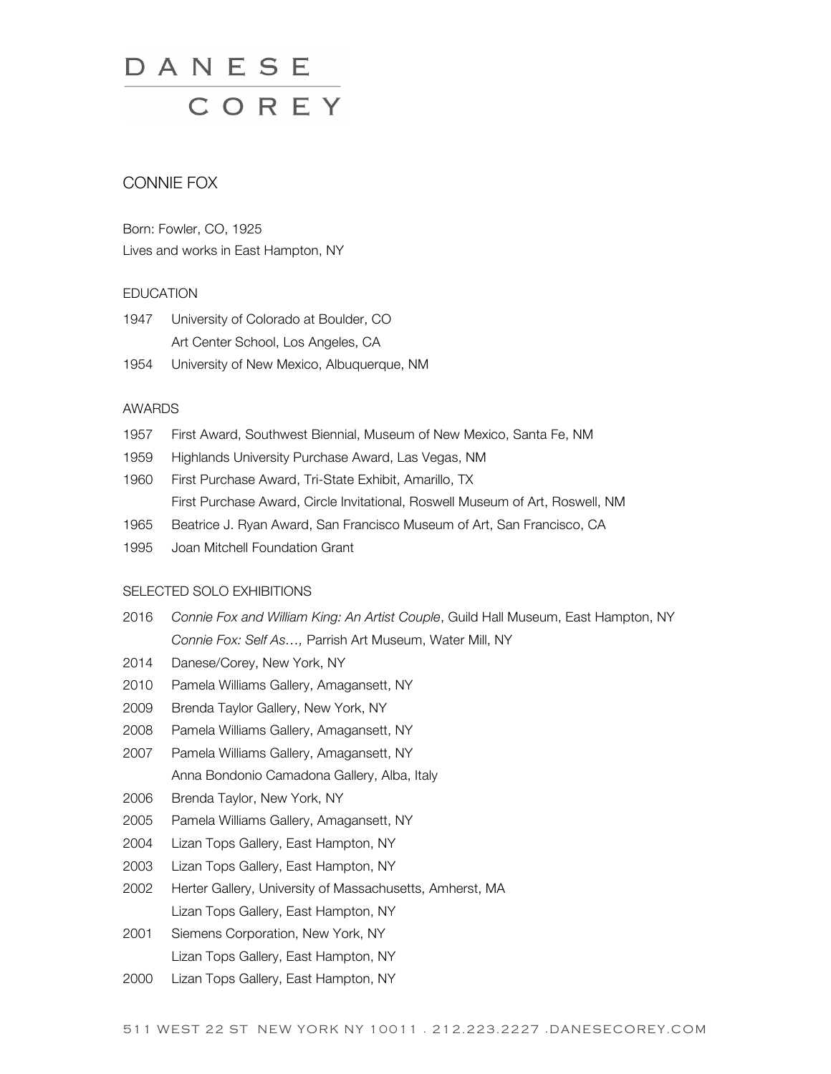# DANESE<br>COREY

# CONNIE FOX

Born: Fowler, CO, 1925 Lives and works in East Hampton, NY

#### **EDUCATION**

- 1947 University of Colorado at Boulder, CO Art Center School, Los Angeles, CA
- 1954 University of New Mexico, Albuquerque, NM

#### AWARDS

- 1957 First Award, Southwest Biennial, Museum of New Mexico, Santa Fe, NM
- 1959 Highlands University Purchase Award, Las Vegas, NM
- 1960 First Purchase Award, Tri-State Exhibit, Amarillo, TX First Purchase Award, Circle Invitational, Roswell Museum of Art, Roswell, NM
- 1965 Beatrice J. Ryan Award, San Francisco Museum of Art, San Francisco, CA
- 1995 Joan Mitchell Foundation Grant

# SELECTED SOLO EXHIBITIONS

- 2016 *Connie Fox and William King: An Artist Couple*, Guild Hall Museum, East Hampton, NY *Connie Fox: Self As…,* Parrish Art Museum, Water Mill, NY
- 2014 Danese/Corey, New York, NY
- 2010 Pamela Williams Gallery, Amagansett, NY
- 2009 Brenda Taylor Gallery, New York, NY
- 2008 Pamela Williams Gallery, Amagansett, NY
- 2007 Pamela Williams Gallery, Amagansett, NY Anna Bondonio Camadona Gallery, Alba, Italy
- 2006 Brenda Taylor, New York, NY
- 2005 Pamela Williams Gallery, Amagansett, NY
- 2004 Lizan Tops Gallery, East Hampton, NY
- 2003 Lizan Tops Gallery, East Hampton, NY
- 2002 Herter Gallery, University of Massachusetts, Amherst, MA Lizan Tops Gallery, East Hampton, NY
- 2001 Siemens Corporation, New York, NY Lizan Tops Gallery, East Hampton, NY
- 2000 Lizan Tops Gallery, East Hampton, NY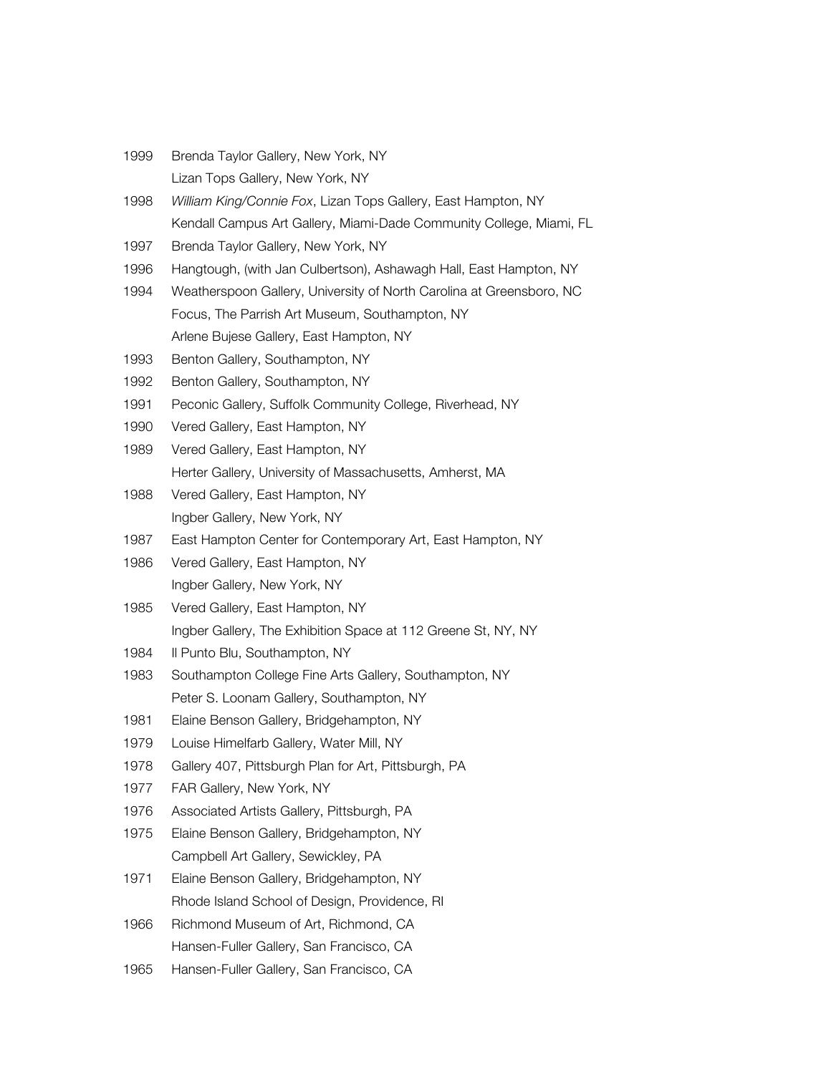Brenda Taylor Gallery, New York, NY Lizan Tops Gallery, New York, NY *William King/Connie Fox*, Lizan Tops Gallery, East Hampton, NY Kendall Campus Art Gallery, Miami-Dade Community College, Miami, FL Brenda Taylor Gallery, New York, NY Hangtough, (with Jan Culbertson), Ashawagh Hall, East Hampton, NY Weatherspoon Gallery, University of North Carolina at Greensboro, NC Focus, The Parrish Art Museum, Southampton, NY Arlene Bujese Gallery, East Hampton, NY Benton Gallery, Southampton, NY Benton Gallery, Southampton, NY Peconic Gallery, Suffolk Community College, Riverhead, NY Vered Gallery, East Hampton, NY Vered Gallery, East Hampton, NY Herter Gallery, University of Massachusetts, Amherst, MA Vered Gallery, East Hampton, NY Ingber Gallery, New York, NY East Hampton Center for Contemporary Art, East Hampton, NY Vered Gallery, East Hampton, NY Ingber Gallery, New York, NY Vered Gallery, East Hampton, NY Ingber Gallery, The Exhibition Space at 112 Greene St, NY, NY 1984 Il Punto Blu, Southampton, NY Southampton College Fine Arts Gallery, Southampton, NY Peter S. Loonam Gallery, Southampton, NY Elaine Benson Gallery, Bridgehampton, NY Louise Himelfarb Gallery, Water Mill, NY Gallery 407, Pittsburgh Plan for Art, Pittsburgh, PA FAR Gallery, New York, NY Associated Artists Gallery, Pittsburgh, PA Elaine Benson Gallery, Bridgehampton, NY Campbell Art Gallery, Sewickley, PA Elaine Benson Gallery, Bridgehampton, NY Rhode Island School of Design, Providence, RI Richmond Museum of Art, Richmond, CA Hansen-Fuller Gallery, San Francisco, CA 1965 Hansen-Fuller Gallery, San Francisco, CA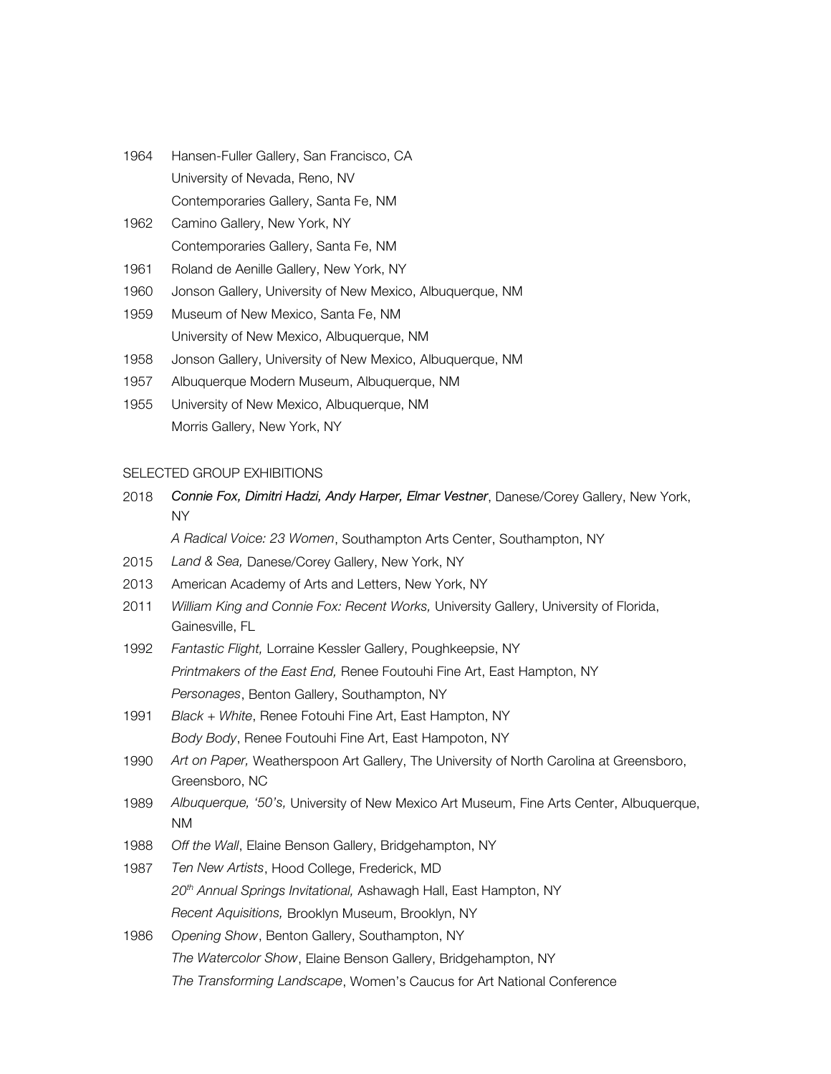- 1964 Hansen-Fuller Gallery, San Francisco, CA University of Nevada, Reno, NV Contemporaries Gallery, Santa Fe, NM
- 1962 Camino Gallery, New York, NY Contemporaries Gallery, Santa Fe, NM
- 1961 Roland de Aenille Gallery, New York, NY
- 1960 Jonson Gallery, University of New Mexico, Albuquerque, NM
- 1959 Museum of New Mexico, Santa Fe, NM University of New Mexico, Albuquerque, NM
- 1958 Jonson Gallery, University of New Mexico, Albuquerque, NM
- 1957 Albuquerque Modern Museum, Albuquerque, NM
- 1955 University of New Mexico, Albuquerque, NM Morris Gallery, New York, NY

# SELECTED GROUP EXHIBITIONS

2018 *Connie Fox, Dimitri Hadzi, Andy Harper, Elmar Vestner*, Danese/Corey Gallery, New York, NY

*A Radical Voice: 23 Women*, Southampton Arts Center, Southampton, NY

- 2015 *Land & Sea,* Danese/Corey Gallery, New York, NY
- 2013 American Academy of Arts and Letters, New York, NY
- 2011 *William King and Connie Fox: Recent Works,* University Gallery, University of Florida, Gainesville, FL
- 1992 *Fantastic Flight,* Lorraine Kessler Gallery, Poughkeepsie, NY *Printmakers of the East End,* Renee Foutouhi Fine Art, East Hampton, NY *Personages*, Benton Gallery, Southampton, NY
- 1991 *Black + White*, Renee Fotouhi Fine Art, East Hampton, NY *Body Body*, Renee Foutouhi Fine Art, East Hampoton, NY
- 1990 *Art on Paper,* Weatherspoon Art Gallery, The University of North Carolina at Greensboro, Greensboro, NC
- 1989 *Albuquerque, '50's,* University of New Mexico Art Museum, Fine Arts Center, Albuquerque, NM
- 1988 *Off the Wall*, Elaine Benson Gallery, Bridgehampton, NY
- 1987 *Ten New Artists*, Hood College, Frederick, MD *20th Annual Springs Invitational,* Ashawagh Hall, East Hampton, NY *Recent Aquisitions,* Brooklyn Museum, Brooklyn, NY
- 1986 *Opening Show*, Benton Gallery, Southampton, NY *The Watercolor Show*, Elaine Benson Gallery, Bridgehampton, NY *The Transforming Landscape*, Women's Caucus for Art National Conference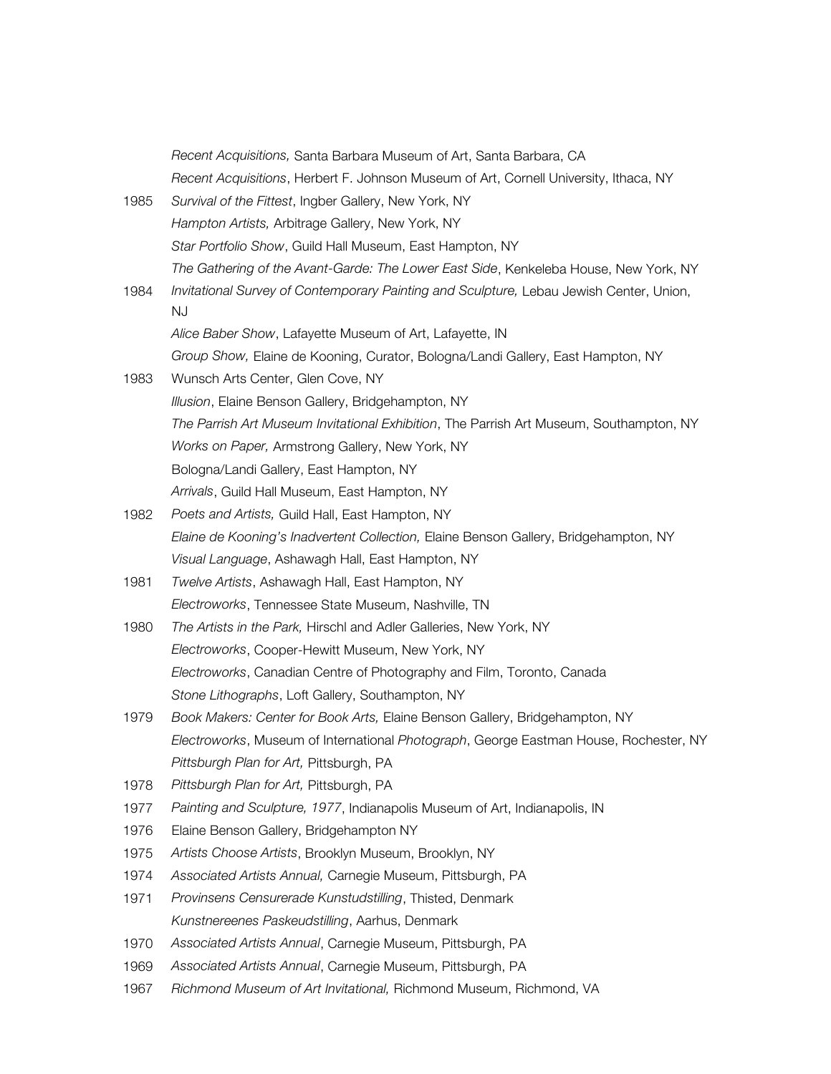*Recent Acquisitions,* Santa Barbara Museum of Art, Santa Barbara, CA *Recent Acquisitions*, Herbert F. Johnson Museum of Art, Cornell University, Ithaca, NY 1985 *Survival of the Fittest*, Ingber Gallery, New York, NY *Hampton Artists,* Arbitrage Gallery, New York, NY *Star Portfolio Show*, Guild Hall Museum, East Hampton, NY *The Gathering of the Avant-Garde: The Lower East Side*, Kenkeleba House, New York, NY 1984 *Invitational Survey of Contemporary Painting and Sculpture,* Lebau Jewish Center, Union, NJ *Alice Baber Show*, Lafayette Museum of Art, Lafayette, IN *Group Show,* Elaine de Kooning, Curator, Bologna/Landi Gallery, East Hampton, NY 1983 Wunsch Arts Center, Glen Cove, NY *Illusion*, Elaine Benson Gallery, Bridgehampton, NY *The Parrish Art Museum Invitational Exhibition*, The Parrish Art Museum, Southampton, NY *Works on Paper,* Armstrong Gallery, New York, NY Bologna/Landi Gallery, East Hampton, NY *Arrivals*, Guild Hall Museum, East Hampton, NY 1982 *Poets and Artists,* Guild Hall, East Hampton, NY *Elaine de Kooning's Inadvertent Collection,* Elaine Benson Gallery, Bridgehampton, NY *Visual Language*, Ashawagh Hall, East Hampton, NY 1981 *Twelve Artists*, Ashawagh Hall, East Hampton, NY *Electroworks*, Tennessee State Museum, Nashville, TN 1980 *The Artists in the Park,* Hirschl and Adler Galleries, New York, NY *Electroworks*, Cooper-Hewitt Museum, New York, NY *Electroworks*, Canadian Centre of Photography and Film, Toronto, Canada *Stone Lithographs*, Loft Gallery, Southampton, NY 1979 *Book Makers: Center for Book Arts,* Elaine Benson Gallery, Bridgehampton, NY *Electroworks*, Museum of International *Photograph*, George Eastman House, Rochester, NY *Pittsburgh Plan for Art,* Pittsburgh, PA 1978 *Pittsburgh Plan for Art,* Pittsburgh, PA 1977 *Painting and Sculpture, 1977*, Indianapolis Museum of Art, Indianapolis, IN 1976 Elaine Benson Gallery, Bridgehampton NY 1975 *Artists Choose Artists*, Brooklyn Museum, Brooklyn, NY 1974 *Associated Artists Annual,* Carnegie Museum, Pittsburgh, PA 1971 *Provinsens Censurerade Kunstudstilling*, Thisted, Denmark *Kunstnereenes Paskeudstilling*, Aarhus, Denmark 1970 *Associated Artists Annual*, Carnegie Museum, Pittsburgh, PA 1969 *Associated Artists Annual*, Carnegie Museum, Pittsburgh, PA 1967 *Richmond Museum of Art Invitational,* Richmond Museum, Richmond, VA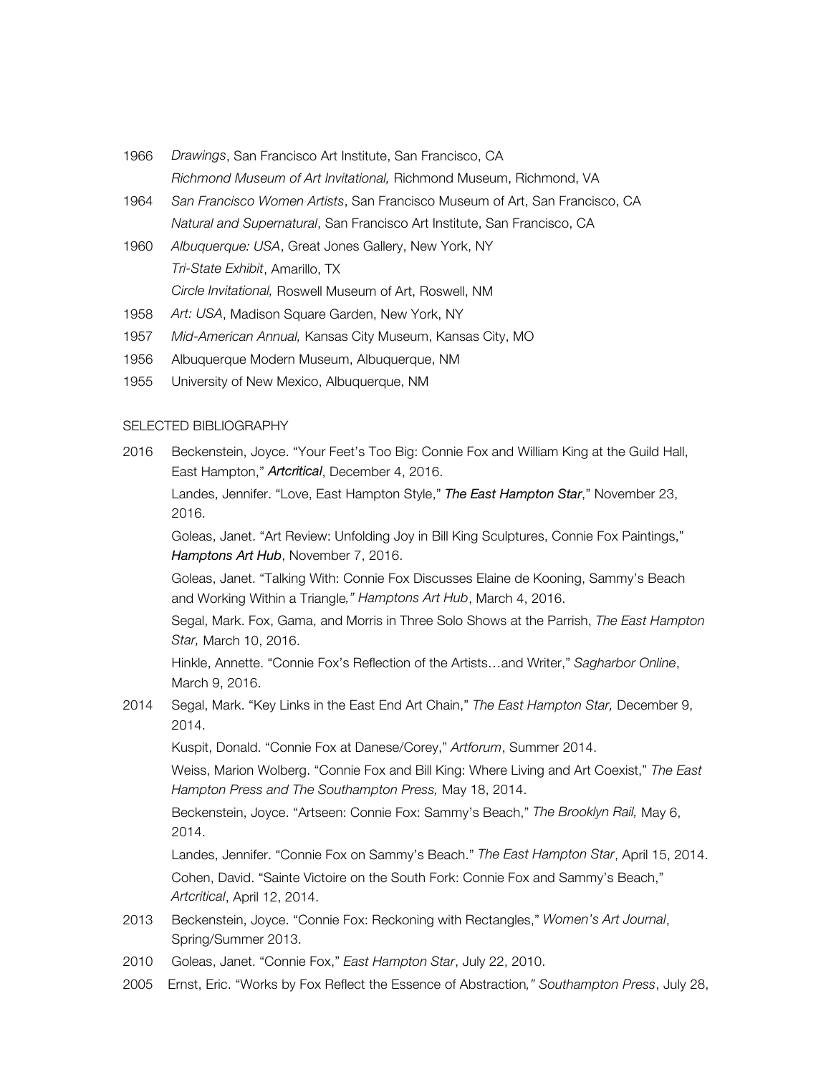- 1966 *Drawings*, San Francisco Art Institute, San Francisco, CA *Richmond Museum of Art Invitational,* Richmond Museum, Richmond, VA
- 1964 *San Francisco Women Artists*, San Francisco Museum of Art, San Francisco, CA *Natural and Supernatural*, San Francisco Art Institute, San Francisco, CA
- 1960 *Albuquerque: USA*, Great Jones Gallery, New York, NY *Tri-State Exhibit*, Amarillo, TX *Circle Invitational,* Roswell Museum of Art, Roswell, NM
- 1958 *Art: USA*, Madison Square Garden, New York, NY
- 1957 *Mid-American Annual,* Kansas City Museum, Kansas City, MO
- 1956 Albuquerque Modern Museum, Albuquerque, NM
- 1955 University of New Mexico, Albuquerque, NM

#### SELECTED BIBLIOGRAPHY

2016 Beckenstein, Joyce. "Your Feet's Too Big: Connie Fox and William King at the Guild Hall, East Hampton," *Artcritical*, December 4, 2016.

Landes, Jennifer. "Love, East Hampton Style," *The East Hampton Star*," November 23, 2016.

Goleas, Janet. "Art Review: Unfolding Joy in Bill King Sculptures, Connie Fox Paintings," *Hamptons Art Hub*, November 7, 2016.

Goleas, Janet. "Talking With: Connie Fox Discusses Elaine de Kooning, Sammy's Beach and Working Within a Triangle*," Hamptons Art Hub*, March 4, 2016.

Segal, Mark. Fox, Gama, and Morris in Three Solo Shows at the Parrish, *The East Hampton Star,* March 10, 2016.

Hinkle, Annette. "Connie Fox's Reflection of the Artists…and Writer," *Sagharbor Online*, March 9, 2016.

2014 Segal, Mark. "Key Links in the East End Art Chain," *The East Hampton Star,* December 9, 2014.

Kuspit, Donald. "Connie Fox at Danese/Corey," *Artforum*, Summer 2014.

Weiss, Marion Wolberg. "Connie Fox and Bill King: Where Living and Art Coexist," *The East Hampton Press and The Southampton Press,* May 18, 2014.

Beckenstein, Joyce. "Artseen: Connie Fox: Sammy's Beach," *The Brooklyn Rail,* May 6, 2014.

Landes, Jennifer. "Connie Fox on Sammy's Beach." *The East Hampton Star*, April 15, 2014. Cohen, David. "Sainte Victoire on the South Fork: Connie Fox and Sammy's Beach," *Artcritical*, April 12, 2014.

- 2013 Beckenstein, Joyce. "Connie Fox: Reckoning with Rectangles," *Women's Art Journal*, Spring/Summer 2013.
- 2010 Goleas, Janet. "Connie Fox," *East Hampton Star*, July 22, 2010.
- 2005 Ernst, Eric. "Works by Fox Reflect the Essence of Abstraction*," Southampton Press*, July 28,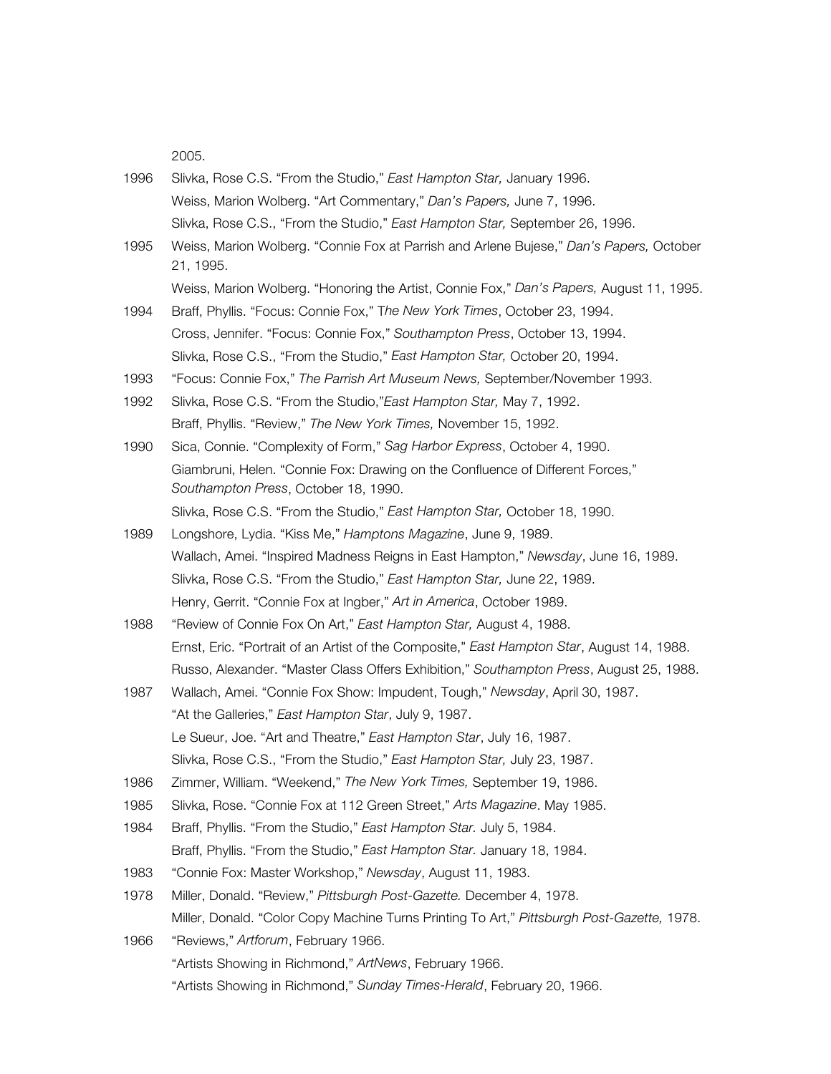2005.

- 1996 Slivka, Rose C.S. "From the Studio," *East Hampton Star,* January 1996. Weiss, Marion Wolberg. "Art Commentary," *Dan's Papers,* June 7, 1996. Slivka, Rose C.S., "From the Studio," *East Hampton Star,* September 26, 1996.
- 1995 Weiss, Marion Wolberg. "Connie Fox at Parrish and Arlene Bujese," *Dan's Papers,* October 21, 1995.
	- Weiss, Marion Wolberg. "Honoring the Artist, Connie Fox," *Dan's Papers,* August 11, 1995.
- 1994 Braff, Phyllis. "Focus: Connie Fox," T*he New York Times*, October 23, 1994. Cross, Jennifer. "Focus: Connie Fox," *Southampton Press*, October 13, 1994. Slivka, Rose C.S., "From the Studio," *East Hampton Star,* October 20, 1994.
- 1993 "Focus: Connie Fox," *The Parrish Art Museum News,* September/November 1993.
- 1992 Slivka, Rose C.S. "From the Studio,"*East Hampton Star,* May 7, 1992. Braff, Phyllis. "Review," *The New York Times,* November 15, 1992.
- 1990 Sica, Connie. "Complexity of Form," *Sag Harbor Express*, October 4, 1990. Giambruni, Helen. "Connie Fox: Drawing on the Confluence of Different Forces," *Southampton Press*, October 18, 1990.

Slivka, Rose C.S. "From the Studio," *East Hampton Star,* October 18, 1990.

- 1989 Longshore, Lydia. "Kiss Me," *Hamptons Magazine*, June 9, 1989. Wallach, Amei. "Inspired Madness Reigns in East Hampton," *Newsday*, June 16, 1989. Slivka, Rose C.S. "From the Studio," *East Hampton Star,* June 22, 1989. Henry, Gerrit. "Connie Fox at Ingber," *Art in America*, October 1989.
- 1988 "Review of Connie Fox On Art," *East Hampton Star,* August 4, 1988. Ernst, Eric. "Portrait of an Artist of the Composite," *East Hampton Star*, August 14, 1988. Russo, Alexander. "Master Class Offers Exhibition," *Southampton Press*, August 25, 1988.
- 1987 Wallach, Amei. "Connie Fox Show: Impudent, Tough," *Newsday*, April 30, 1987. "At the Galleries," *East Hampton Star*, July 9, 1987. Le Sueur, Joe. "Art and Theatre," *East Hampton Star*, July 16, 1987. Slivka, Rose C.S., "From the Studio," *East Hampton Star,* July 23, 1987.
- 1986 Zimmer, William. "Weekend," *The New York Times,* September 19, 1986.
- 1985 Slivka, Rose. "Connie Fox at 112 Green Street," *Arts Magazine*. May 1985.
- 1984 Braff, Phyllis. "From the Studio," *East Hampton Star.* July 5, 1984. Braff, Phyllis. "From the Studio," *East Hampton Star.* January 18, 1984.
- 1983 "Connie Fox: Master Workshop," *Newsday*, August 11, 1983.
- 1978 Miller, Donald. "Review," *Pittsburgh Post-Gazette.* December 4, 1978. Miller, Donald. "Color Copy Machine Turns Printing To Art," *Pittsburgh Post-Gazette,* 1978.
- 1966 "Reviews," *Artforum*, February 1966. "Artists Showing in Richmond," *ArtNews*, February 1966. "Artists Showing in Richmond," *Sunday Times-Herald*, February 20, 1966.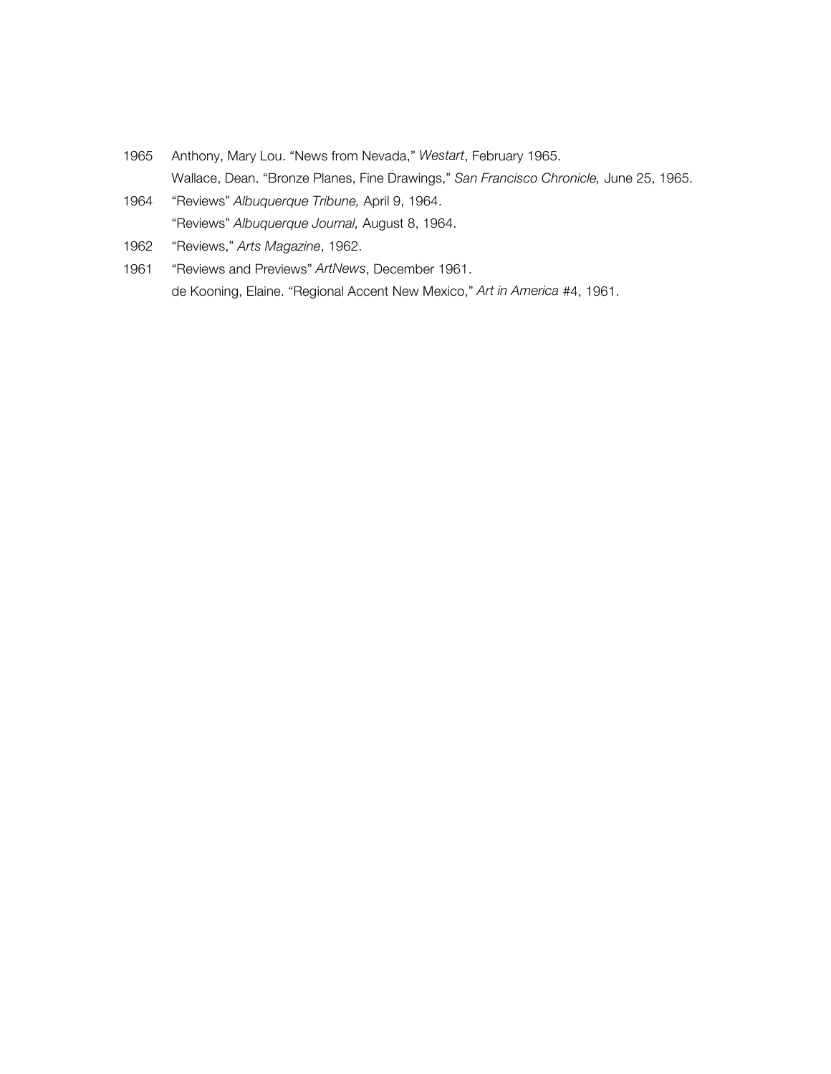- 1965 Anthony, Mary Lou. "News from Nevada," *Westart*, February 1965. Wallace, Dean. "Bronze Planes, Fine Drawings," *San Francisco Chronicle,* June 25, 1965.
- 1964 "Reviews" *Albuquerque Tribune,* April 9, 1964. "Reviews" *Albuquerque Journal,* August 8, 1964.
- 1962 "Reviews," *Arts Magazine*, 1962.
- 1961 "Reviews and Previews" *ArtNews*, December 1961. de Kooning, Elaine. "Regional Accent New Mexico," *Art in America* #4, 1961.